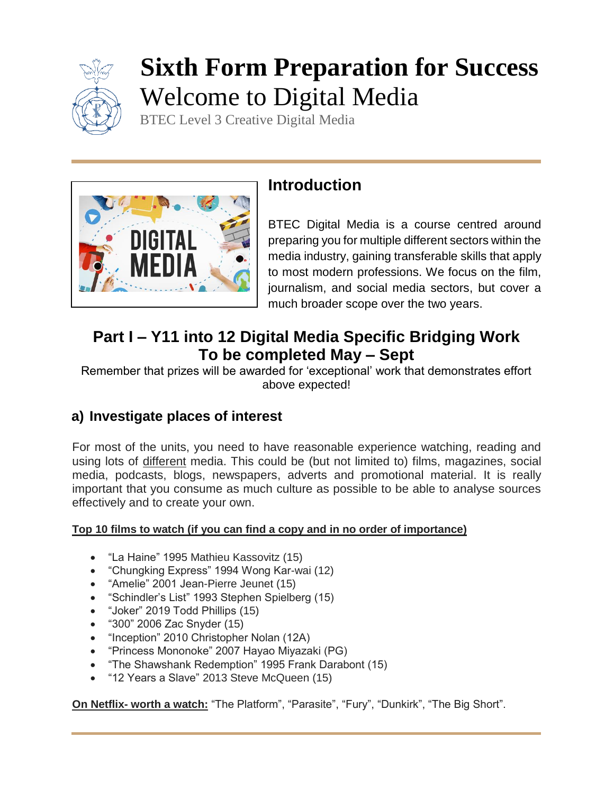

# **Sixth Form Preparation for Success** Welcome to Digital Media

BTEC Level 3 Creative Digital Media



## **Introduction**

BTEC Digital Media is a course centred around preparing you for multiple different sectors within the media industry, gaining transferable skills that apply to most modern professions. We focus on the film, journalism, and social media sectors, but cover a much broader scope over the two years.

## **Part I – Y11 into 12 Digital Media Specific Bridging Work To be completed May – Sept**

Remember that prizes will be awarded for 'exceptional' work that demonstrates effort above expected!

## **a) Investigate places of interest**

For most of the units, you need to have reasonable experience watching, reading and using lots of different media. This could be (but not limited to) films, magazines, social media, podcasts, blogs, newspapers, adverts and promotional material. It is really important that you consume as much culture as possible to be able to analyse sources effectively and to create your own.

#### **Top 10 films to watch (if you can find a copy and in no order of importance)**

- "La Haine" 1995 Mathieu Kassovitz (15)
- "Chungking Express" 1994 Wong Kar-wai (12)
- "Amelie" 2001 Jean-Pierre Jeunet (15)
- "Schindler's List" 1993 Stephen Spielberg (15)
- "Joker" 2019 Todd Phillips (15)
- "300" 2006 Zac Snyder (15)
- "Inception" 2010 Christopher Nolan (12A)
- "Princess Mononoke" 2007 Hayao Miyazaki (PG)
- "The Shawshank Redemption" 1995 Frank Darabont (15)
- "12 Years a Slave" 2013 Steve McQueen (15)

**On Netflix- worth a watch:** "The Platform", "Parasite", "Fury", "Dunkirk", "The Big Short".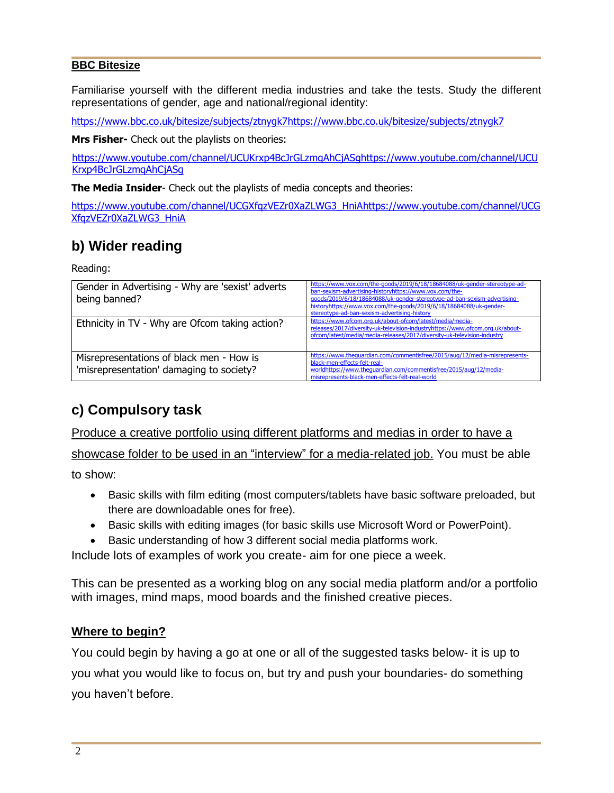#### **BBC Bitesize**

Familiarise yourself with the different media industries and take the tests. Study the different representations of gender, age and national/regional identity:

[https://www.bbc.co.uk/bitesize/subjects/ztnygk7https://www.bbc.co.uk/bitesize/subjects/ztnygk7](https://owa2.mcauley.org.uk/owa/redir.aspx?C=zbIM9gtzRv-oQmgZXTVDaCM-Ax4XaQtjL-teEdjmN1BaXW0nXvfXCA..&URL=https%3a%2f%2fwww.bbc.co.uk%2fbitesize%2fsubjects%2fztnygk7)

**Mrs Fisher-** Check out the playlists on theories:

[https://www.youtube.com/channel/UCUKrxp4BcJrGLzmqAhCjASghttps://www.youtube.com/channel/UCU](https://owa2.mcauley.org.uk/owa/redir.aspx?C=sD5aTAH7s2DI9goUOxA8w-7dsqXA96VvoL_VZ4awzQxaXW0nXvfXCA..&URL=https%3a%2f%2fwww.youtube.com%2fchannel%2fUCUKrxp4BcJrGLzmqAhCjASg) [Krxp4BcJrGLzmqAhCjASg](https://owa2.mcauley.org.uk/owa/redir.aspx?C=sD5aTAH7s2DI9goUOxA8w-7dsqXA96VvoL_VZ4awzQxaXW0nXvfXCA..&URL=https%3a%2f%2fwww.youtube.com%2fchannel%2fUCUKrxp4BcJrGLzmqAhCjASg)

**The Media Insider**- Check out the playlists of media concepts and theories:

[https://www.youtube.com/channel/UCGXfqzVEZr0XaZLWG3\\_HniAhttps://www.youtube.com/channel/UCG](https://owa2.mcauley.org.uk/owa/redir.aspx?C=3lbFKk5G8V5d9JEXwp3JufFBmPz2DGB6k8m5YTg1AydaXW0nXvfXCA..&URL=https%3a%2f%2fwww.youtube.com%2fchannel%2fUCGXfqzVEZr0XaZLWG3_HniA) [XfqzVEZr0XaZLWG3\\_HniA](https://owa2.mcauley.org.uk/owa/redir.aspx?C=aH7ZTk684KeehDfvOQKaXcsolrvUUD9CImnDLpD4nGbAvm8nXvfXCA..&URL=https%3a%2f%2fwww.youtube.com%2fchannel%2fUCGXfqzVEZr0XaZLWG3_HniA)

### **b) Wider reading**

Reading:

| Gender in Advertising - Why are 'sexist' adverts<br>being banned?                    | https://www.vox.com/the-goods/2019/6/18/18684088/uk-gender-stereotype-ad-<br>ban-sexism-advertising-historyhttps://www.vox.com/the-<br>qoods/2019/6/18/18684088/uk-gender-stereotype-ad-ban-sexism-advertising-<br>historyhttps://www.vox.com/the-goods/2019/6/18/18684088/uk-gender-<br>stereotype-ad-ban-sexism-advertising-history |
|--------------------------------------------------------------------------------------|---------------------------------------------------------------------------------------------------------------------------------------------------------------------------------------------------------------------------------------------------------------------------------------------------------------------------------------|
| Ethnicity in TV - Why are Ofcom taking action?                                       | https://www.ofcom.org.uk/about-ofcom/latest/media/media-<br>releases/2017/diversity-uk-television-industryhttps://www.ofcom.org.uk/about-<br>ofcom/latest/media/media-releases/2017/diversity-uk-television-industry                                                                                                                  |
| Misrepresentations of black men - How is<br>'misrepresentation' damaging to society? | https://www.thequardian.com/commentisfree/2015/aug/12/media-misrepresents-<br>black-men-effects-felt-real-<br>worldhttps://www.thequardian.com/commentisfree/2015/aug/12/media-<br>misrepresents-black-men-effects-felt-real-world                                                                                                    |

## **c) Compulsory task**

Produce a creative portfolio using different platforms and medias in order to have a showcase folder to be used in an "interview" for a media-related job. You must be able

to show:

- Basic skills with film editing (most computers/tablets have basic software preloaded, but there are downloadable ones for free).
- Basic skills with editing images (for basic skills use Microsoft Word or PowerPoint).
- Basic understanding of how 3 different social media platforms work.

Include lots of examples of work you create- aim for one piece a week.

This can be presented as a working blog on any social media platform and/or a portfolio with images, mind maps, mood boards and the finished creative pieces.

#### **Where to begin?**

You could begin by having a go at one or all of the suggested tasks below- it is up to you what you would like to focus on, but try and push your boundaries- do something you haven't before.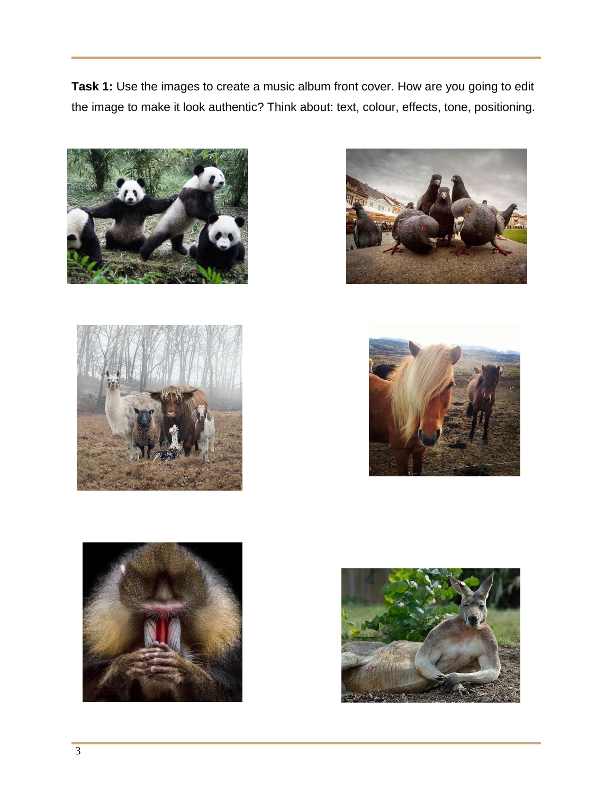**Task 1:** Use the images to create a music album front cover. How are you going to edit the image to make it look authentic? Think about: text, colour, effects, tone, positioning.











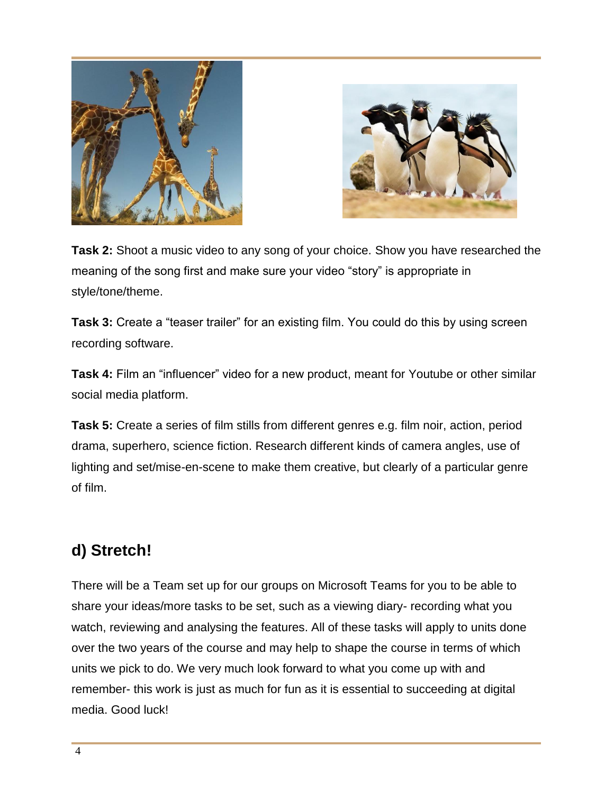



**Task 2:** Shoot a music video to any song of your choice. Show you have researched the meaning of the song first and make sure your video "story" is appropriate in style/tone/theme.

**Task 3:** Create a "teaser trailer" for an existing film. You could do this by using screen recording software.

**Task 4:** Film an "influencer" video for a new product, meant for Youtube or other similar social media platform.

**Task 5:** Create a series of film stills from different genres e.g. film noir, action, period drama, superhero, science fiction. Research different kinds of camera angles, use of lighting and set/mise-en-scene to make them creative, but clearly of a particular genre of film.

# **d) Stretch!**

There will be a Team set up for our groups on Microsoft Teams for you to be able to share your ideas/more tasks to be set, such as a viewing diary- recording what you watch, reviewing and analysing the features. All of these tasks will apply to units done over the two years of the course and may help to shape the course in terms of which units we pick to do. We very much look forward to what you come up with and remember- this work is just as much for fun as it is essential to succeeding at digital media. Good luck!